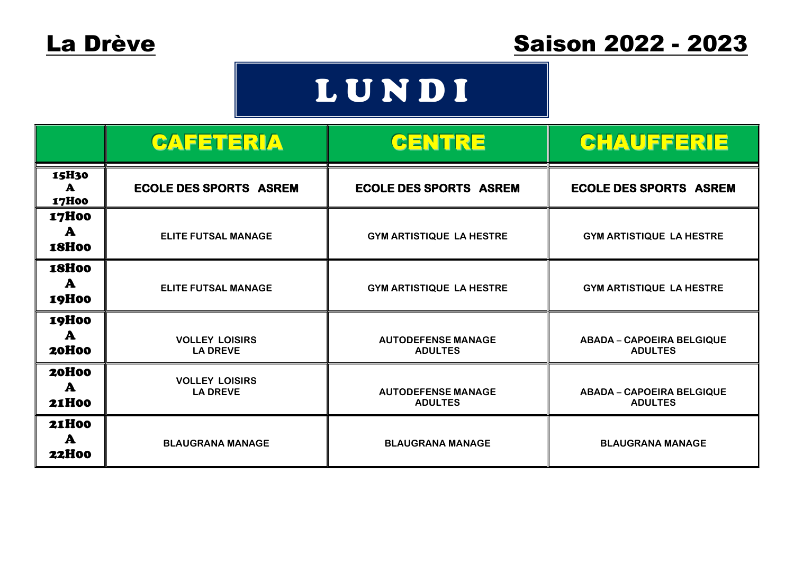## L U N D I

|                                       | CAFETERIA                                | CENTRE                                      | <b>CHAUFFERIE</b>                                  |
|---------------------------------------|------------------------------------------|---------------------------------------------|----------------------------------------------------|
| 15H30<br>$\mathbf{A}$<br><b>17H00</b> | <b>ECOLE DES SPORTS ASREM</b>            | <b>ECOLE DES SPORTS ASREM</b>               | <b>ECOLE DES SPORTS ASREM</b>                      |
| <b>17H00</b><br>A<br><b>18H00</b>     | <b>ELITE FUTSAL MANAGE</b>               | <b>GYM ARTISTIQUE LA HESTRE</b>             | <b>GYM ARTISTIQUE LA HESTRE</b>                    |
| <b>18H00</b><br>A<br><b>19H00</b>     | <b>ELITE FUTSAL MANAGE</b>               | <b>GYM ARTISTIQUE LA HESTRE</b>             | <b>GYM ARTISTIQUE LA HESTRE</b>                    |
| <b>19H00</b><br>A<br>20H00            | <b>VOLLEY LOISIRS</b><br><b>LA DREVE</b> | <b>AUTODEFENSE MANAGE</b><br><b>ADULTES</b> | <b>ABADA - CAPOEIRA BELGIQUE</b><br><b>ADULTES</b> |
| 20H00<br>A<br><b>21H00</b>            | <b>VOLLEY LOISIRS</b><br><b>LA DREVE</b> | <b>AUTODEFENSE MANAGE</b><br><b>ADULTES</b> | <b>ABADA - CAPOEIRA BELGIQUE</b><br><b>ADULTES</b> |
| <b>21H00</b><br>A<br><b>22H00</b>     | <b>BLAUGRANA MANAGE</b>                  | <b>BLAUGRANA MANAGE</b>                     | <b>BLAUGRANA MANAGE</b>                            |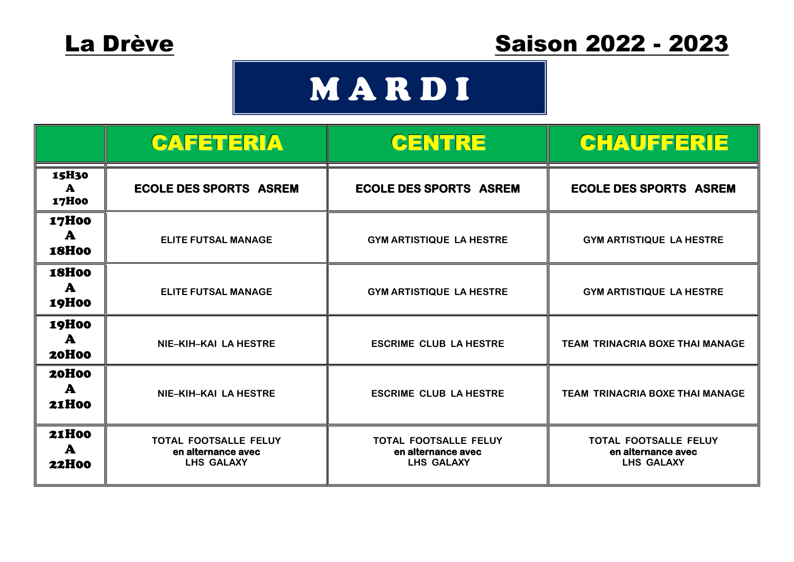### La Drève Saison 2022 - 2023

## **MARDI**

|                                              | <b>CAFETERIA</b>                                          | CENTRE                                                           | <b>CHAUFFERIE</b>                                         |
|----------------------------------------------|-----------------------------------------------------------|------------------------------------------------------------------|-----------------------------------------------------------|
| 15H30<br>A<br><b>17H00</b>                   | <b>ECOLE DES SPORTS ASREM</b>                             | <b>ECOLE DES SPORTS ASREM</b>                                    | <b>ECOLE DES SPORTS ASREM</b>                             |
| <b>17H00</b><br>A<br><b>18H00</b>            | <b>ELITE FUTSAL MANAGE</b>                                | <b>GYM ARTISTIQUE LA HESTRE</b>                                  | <b>GYM ARTISTIQUE LA HESTRE</b>                           |
| <b>18H00</b><br>$\mathbf{A}$<br><b>19H00</b> | <b>ELITE FUTSAL MANAGE</b>                                | <b>GYM ARTISTIQUE LA HESTRE</b>                                  | <b>GYM ARTISTIQUE LA HESTRE</b>                           |
| <b>19H00</b><br>$\mathbf{A}$<br><b>20H00</b> | NIE-KIH-KAI LA HESTRE                                     | <b>ESCRIME CLUB LA HESTRE</b>                                    | <b>TEAM TRINACRIA BOXE THAI MANAGE</b>                    |
| <b>20H00</b><br>$\mathbf{A}$<br><b>21H00</b> | NIE-KIH-KAI LA HESTRE                                     | <b>ESCRIME CLUB LA HESTRE</b>                                    | <b>TEAM TRINACRIA BOXE THAI MANAGE</b>                    |
| <b>21H00</b><br>A<br><b>22H00</b>            | TOTAL FOOTSALLE FELUY<br>en alternance avec<br>LHS GALAXY | <b>TOTAL FOOTSALLE FELUY</b><br>en alternance avec<br>LHS GALAXY | TOTAL FOOTSALLE FELUY<br>en alternance avec<br>LHS GALAXY |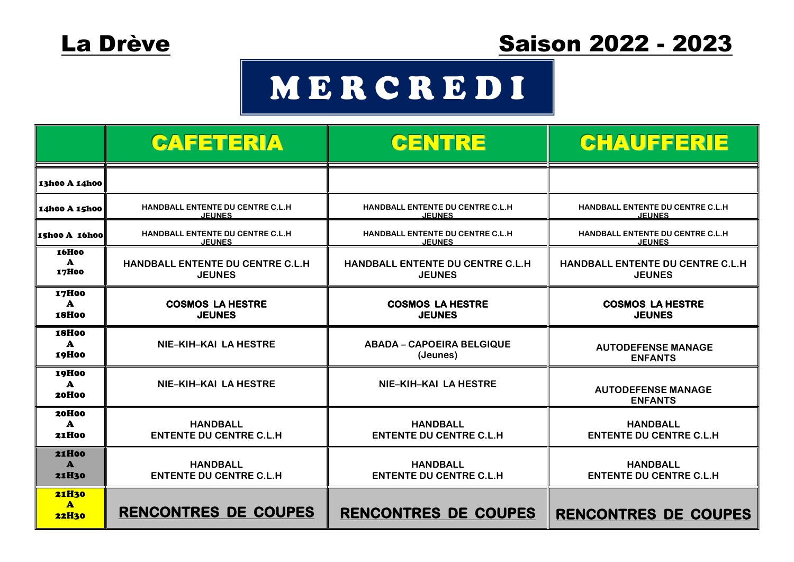

### La Drève Saison 2022 - 2023

## M E R C R E D I

|                                              | CAFETERIA                                                 | CENTRE                                            | <b>CHAUFFERIE</b>                                  |
|----------------------------------------------|-----------------------------------------------------------|---------------------------------------------------|----------------------------------------------------|
| 13h00 A 14h00                                |                                                           |                                                   |                                                    |
| 14h00 A 15h00                                | HANDBALL ENTENTE DU CENTRE C.L.H<br><b>JEUNES</b>         | HANDBALL ENTENTE DU CENTRE C.L.H<br><b>JEUNES</b> | HANDBALL ENTENTE DU CENTRE C.L.H<br><b>JEUNES</b>  |
| Ishoo A 16hoo                                | <b>HANDBALL ENTENTE DU CENTRE C.L.H.</b><br><b>JEUNES</b> | HANDBALL ENTENTE DU CENTRE C.L.H<br><b>JEUNES</b> | HANDBALL ENTENTE DU CENTRE C.L.H.<br><b>JEUNES</b> |
| <b>16H00</b><br>$\mathbf{A}$<br>17H00        | HANDBALL ENTENTE DU CENTRE C.L.H<br><b>JEUNES</b>         | HANDBALL ENTENTE DU CENTRE C.L.H<br><b>JEUNES</b> | HANDBALL ENTENTE DU CENTRE C.L.H<br><b>JEUNES</b>  |
| <b>17H00</b><br>$\mathbf{A}$<br><b>18H00</b> | <b>COSMOS LA HESTRE</b><br><b>JEUNES</b>                  | <b>COSMOS LA HESTRE</b><br><b>JEUNES</b>          | <b>COSMOS LA HESTRE</b><br><b>JEUNES</b>           |
| <b>18H00</b><br>$\mathbf{A}$<br>19H00        | NIE-KIH-KAI LA HESTRE                                     | <b>ABADA - CAPOEIRA BELGIQUE</b><br>(Jeunes)      | <b>AUTODEFENSE MANAGE</b><br><b>ENFANTS</b>        |
| <b>19H00</b><br>$\mathbf{A}$<br><b>20H00</b> | NIE-KIH-KAI LA HESTRE                                     | NIE-KIH-KAI LA HESTRE                             | <b>AUTODEFENSE MANAGE</b><br><b>ENFANTS</b>        |
| 20H00<br>$\mathbf{A}$<br><b>21H00</b>        | <b>HANDBALL</b><br><b>ENTENTE DU CENTRE C.L.H</b>         | <b>HANDBALL</b><br><b>ENTENTE DU CENTRE C.L.H</b> | <b>HANDBALL</b><br><b>ENTENTE DU CENTRE C.L.H</b>  |
| <b>21H00</b><br>$\mathbf{A}$<br><b>21H30</b> | <b>HANDBALL</b><br><b>ENTENTE DU CENTRE C.L.H</b>         | <b>HANDBALL</b><br><b>ENTENTE DU CENTRE C.L.H</b> | <b>HANDBALL</b><br><b>ENTENTE DU CENTRE C.L.H</b>  |
| <b>21H30</b><br>$\mathbf{A}$<br><b>22H30</b> | <b>RENCONTRES DE COUPES</b>                               | <b>RENCONTRES DE COUPES</b>                       | <b>RENCONTRES DE COUPES</b>                        |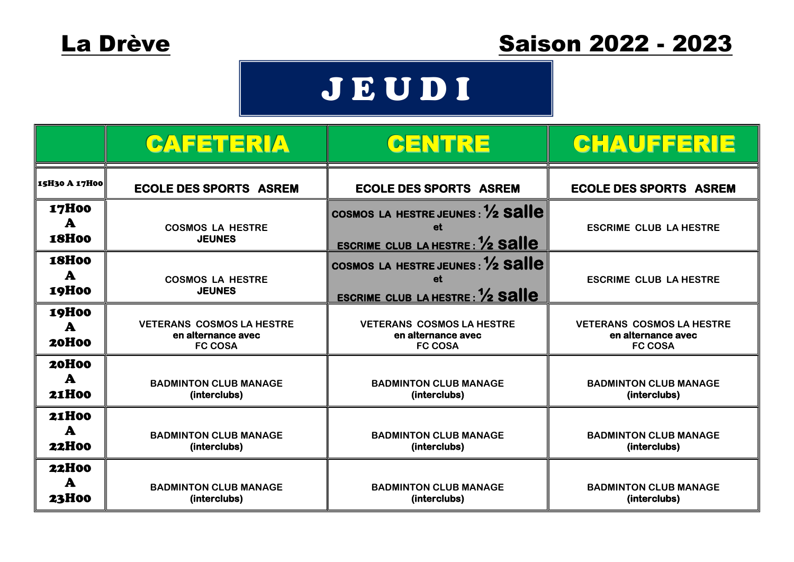### La Drève Saison 2022 - 2023

## J E U D I

|                                              | CAFETERIA                                                                | CENTRE                                                                                       | CHAUFFERIE                                                               |
|----------------------------------------------|--------------------------------------------------------------------------|----------------------------------------------------------------------------------------------|--------------------------------------------------------------------------|
| 15H30 A 17H00                                | <b>ECOLE DES SPORTS ASREM</b>                                            | <b>ECOLE DES SPORTS ASREM</b>                                                                | <b>ECOLE DES SPORTS ASREM</b>                                            |
| <b>17H00</b><br>A<br><b>18H00</b>            | <b>COSMOS LA HESTRE</b><br><b>JEUNES</b>                                 | COSMOS LA HESTRE JEUNES : 1/2 Salle<br>et<br><b>ESCRIME CLUB LA HESTRE: 1/2 Salle</b>        | <b>ESCRIME CLUB LA HESTRE</b>                                            |
| <b>18H00</b><br>$\mathbf{A}$<br><b>19H00</b> | <b>COSMOS LA HESTRE</b><br><b>JEUNES</b>                                 | COSMOS LA HESTRE JEUNES : 1/2 Salle<br><b>et</b><br><b>ESCRIME CLUB LA HESTRE: 1/2 Salle</b> | <b>ESCRIME CLUB LA HESTRE</b>                                            |
| <b>19H00</b><br>A<br><b>20H00</b>            | <b>VETERANS COSMOS LA HESTRE</b><br>en alternance avec<br><b>FC COSA</b> | <b>VETERANS COSMOS LA HESTRE</b><br>en alternance avec<br><b>FC COSA</b>                     | <b>VETERANS COSMOS LA HESTRE</b><br>en alternance avec<br><b>FC COSA</b> |
| <b>20H00</b><br>$\mathbf{A}$<br><b>21H00</b> | <b>BADMINTON CLUB MANAGE</b><br>(interclubs)                             | <b>BADMINTON CLUB MANAGE</b><br>(interclubs)                                                 | <b>BADMINTON CLUB MANAGE</b><br>(interclubs)                             |
| <b>21H00</b><br>$\mathbf{A}$<br><b>22H00</b> | <b>BADMINTON CLUB MANAGE</b><br>(interclubs)                             | <b>BADMINTON CLUB MANAGE</b><br>(interclubs)                                                 | <b>BADMINTON CLUB MANAGE</b><br>(interclubs)                             |
| <b>22H00</b><br>A<br><b>23H00</b>            | <b>BADMINTON CLUB MANAGE</b><br>(interclubs)                             | <b>BADMINTON CLUB MANAGE</b><br>(interclubs)                                                 | <b>BADMINTON CLUB MANAGE</b><br>(interclubs)                             |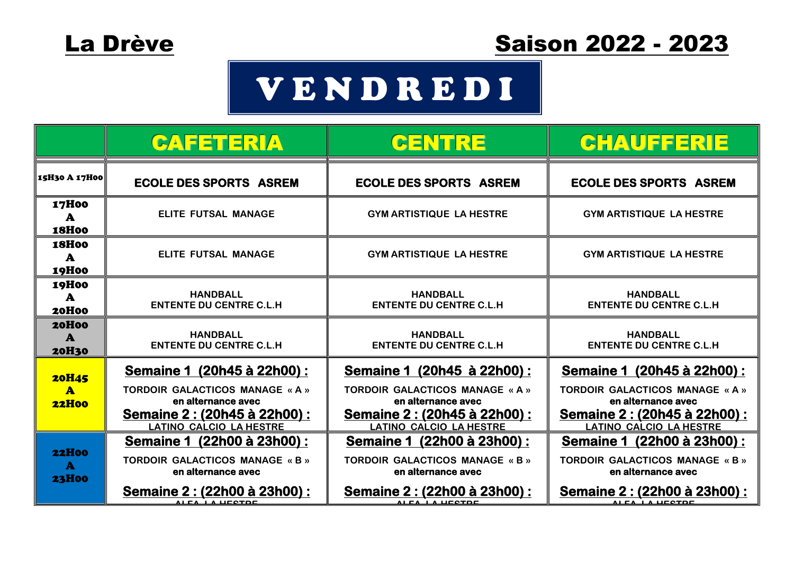# V E N D R E D I

|                                              | CAFETERIA                                                                                                                                              | CENTRE                                                                                                                                                 | <b>CHAUFFERIE</b>                                                                                                                                |
|----------------------------------------------|--------------------------------------------------------------------------------------------------------------------------------------------------------|--------------------------------------------------------------------------------------------------------------------------------------------------------|--------------------------------------------------------------------------------------------------------------------------------------------------|
| 15H30 A 17H00                                | <b>ECOLE DES SPORTS ASREM</b>                                                                                                                          | <b>ECOLE DES SPORTS ASREM</b>                                                                                                                          | <b>ECOLE DES SPORTS ASREM</b>                                                                                                                    |
| <b>17H00</b><br>A<br><b>18H00</b>            | ELITE FUTSAL MANAGE                                                                                                                                    | <b>GYM ARTISTIQUE LA HESTRE</b>                                                                                                                        | <b>GYM ARTISTIQUE LA HESTRE</b>                                                                                                                  |
| <b>18H00</b><br>$\mathbf{A}$<br>19H00        | ELITE FUTSAL MANAGE                                                                                                                                    | <b>GYM ARTISTIQUE LA HESTRE</b>                                                                                                                        | <b>GYM ARTISTIQUE LA HESTRE</b>                                                                                                                  |
| <b>19H00</b><br>A<br><b>20H00</b>            | <b>HANDBALL</b><br><b>ENTENTE DU CENTRE C.L.H</b>                                                                                                      | <b>HANDBALL</b><br><b>ENTENTE DU CENTRE C.L.H</b>                                                                                                      | <b>HANDBALL</b><br><b>ENTENTE DU CENTRE C.L.H</b>                                                                                                |
| <b>20H00</b><br>A<br><b>20H30</b>            | <b>HANDBALL</b><br><b>ENTENTE DU CENTRE C.L.H</b>                                                                                                      | <b>HANDBALL</b><br><b>ENTENTE DU CENTRE C.L.H</b>                                                                                                      | <b>HANDBALL</b><br><b>ENTENTE DU CENTRE C.L.H</b>                                                                                                |
| <b>20H45</b><br>$\mathbf{A}$<br><b>22H00</b> | <u>Semaine 1 (20h45 à 22h00) :</u><br>TORDOIR GALACTICOS MANAGE « A »<br>en alternance avec<br>Semaine 2: (20h45 à 22h00) :<br>LATINO CALCIO LA HESTRE | <u>Semaine 1 (20h45 à 22h00):</u><br>TORDOIR GALACTICOS MANAGE « A »<br>en alternance avec<br>Semaine 2 : (20h45 à 22h00) :<br>LATINO CALCIO LA HESTRE | Semaine 1 (20h45 à 22h00) :<br>TORDOIR GALACTICOS MANAGE « A »<br>en alternance avec<br>Semaine 2 : (20h45 à 22h00) :<br>LATINO CALCIO LA HESTRE |
| <b>22H00</b><br>$\mathbf{A}$<br><b>23H00</b> | Semaine 1 (22h00 à 23h00):<br><b>TORDOIR GALACTICOS MANAGE « B »</b><br>en alternance avec<br>Semaine 2: (22h00 à 23h00) :<br>ALCA LA LICOTOC          | Semaine 1 (22h00 à 23h00) :<br><b>TORDOIR GALACTICOS MANAGE « B »</b><br>en alternance avec<br>Semaine 2: (22h00 à 23h00) :<br>ALEA LA LIFOTOF         | Semaine 1 (22h00 à 23h00):<br><b>TORDOIR GALACTICOS MANAGE « B »</b><br>en alternance avec<br>Semaine 2: (22h00 à 23h00) :<br>ALEA LA UESTOE     |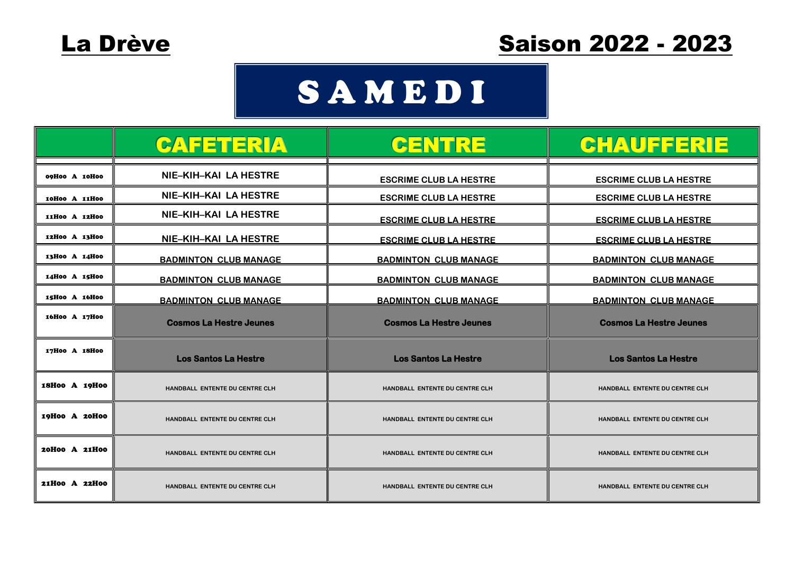### **SAMEDI**

|               | CAFETERIA                             | <b>CENTRE</b>                         | <b>CHAUFFERIE</b>                     |
|---------------|---------------------------------------|---------------------------------------|---------------------------------------|
| 09H00 A 10H00 | NIE-KIH-KAI LA HESTRE                 | <b>ESCRIME CLUB LA HESTRE</b>         | <b>ESCRIME CLUB LA HESTRE</b>         |
| 10H00 A 11H00 | NIE-KIH-KAI LA HESTRE                 | <b>ESCRIME CLUB LA HESTRE</b>         | <b>ESCRIME CLUB LA HESTRE</b>         |
| 11H00 A 12H00 | NIE-KIH-KAI LA HESTRE                 | <b>ESCRIME CLUB LA HESTRE</b>         | <b>ESCRIME CLUB LA HESTRE</b>         |
| 12H00 A 13H00 | NIE-KIH-KAI LA HESTRE                 | <b>ESCRIME CLUB LA HESTRE</b>         | <b>ESCRIME CLUB LA HESTRE</b>         |
| 13H00 A 14H00 | <b>BADMINTON CLUB MANAGE</b>          | <b>BADMINTON CLUB MANAGE</b>          | <b>BADMINTON CLUB MANAGE</b>          |
| 14H00 A 15H00 | <b>BADMINTON CLUB MANAGE</b>          | <b>BADMINTON CLUB MANAGE</b>          | <b>BADMINTON CLUB MANAGE</b>          |
| 15H00 A 16H00 | <b>BADMINTON CLUB MANAGE</b>          | <b>BADMINTON CLUB MANAGE</b>          | <b>BADMINTON CLUB MANAGE</b>          |
| 16H00 A 17H00 | <b>Cosmos La Hestre Jeunes</b>        | <b>Cosmos La Hestre Jeunes</b>        | <b>Cosmos La Hestre Jeunes</b>        |
| 17H00 A 18H00 | <b>Los Santos La Hestre</b>           | <b>Los Santos La Hestre</b>           | <b>Los Santos La Hestre</b>           |
| 18H00 A 19H00 | <b>HANDBALL ENTENTE DU CENTRE CLH</b> | <b>HANDBALL ENTENTE DU CENTRE CLH</b> | <b>HANDBALL ENTENTE DU CENTRE CLH</b> |
| 19H00 A 20H00 | HANDBALL ENTENTE DU CENTRE CLH        | HANDBALL ENTENTE DU CENTRE CLH        | HANDBALL ENTENTE DU CENTRE CLH        |
| 20H00 A 21H00 | HANDBALL ENTENTE DU CENTRE CLH        | HANDBALL ENTENTE DU CENTRE CLH        | HANDBALL ENTENTE DU CENTRE CLH        |
| 21H00 A 22H00 | HANDBALL ENTENTE DU CENTRE CLH        | HANDBALL ENTENTE DU CENTRE CLH        | HANDBALL ENTENTE DU CENTRE CLH        |